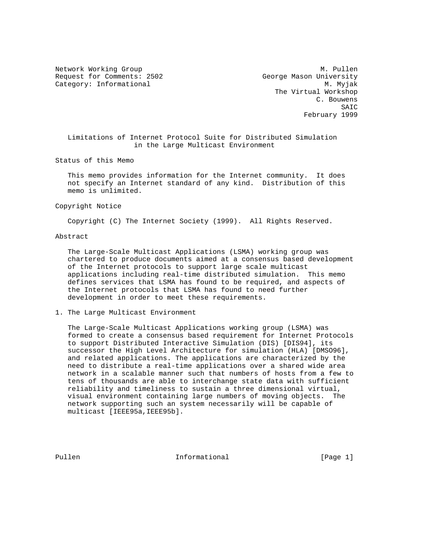Request for Comments: 2502 George Mason University Category: Informational M. Myjak

Network Working Group and Month Communications of Month Month Month Month Month Month Month Month Month Month M The Virtual Workshop C. Bouwens SAIC February 1999

 Limitations of Internet Protocol Suite for Distributed Simulation in the Large Multicast Environment

Status of this Memo

 This memo provides information for the Internet community. It does not specify an Internet standard of any kind. Distribution of this memo is unlimited.

Copyright Notice

Copyright (C) The Internet Society (1999). All Rights Reserved.

Abstract

 The Large-Scale Multicast Applications (LSMA) working group was chartered to produce documents aimed at a consensus based development of the Internet protocols to support large scale multicast applications including real-time distributed simulation. This memo defines services that LSMA has found to be required, and aspects of the Internet protocols that LSMA has found to need further development in order to meet these requirements.

1. The Large Multicast Environment

 The Large-Scale Multicast Applications working group (LSMA) was formed to create a consensus based requirement for Internet Protocols to support Distributed Interactive Simulation (DIS) [DIS94], its successor the High Level Architecture for simulation (HLA) [DMSO96], and related applications. The applications are characterized by the need to distribute a real-time applications over a shared wide area network in a scalable manner such that numbers of hosts from a few to tens of thousands are able to interchange state data with sufficient reliability and timeliness to sustain a three dimensional virtual, visual environment containing large numbers of moving objects. The network supporting such an system necessarily will be capable of multicast [IEEE95a,IEEE95b].

Pullen **Informational** Informational [Page 1]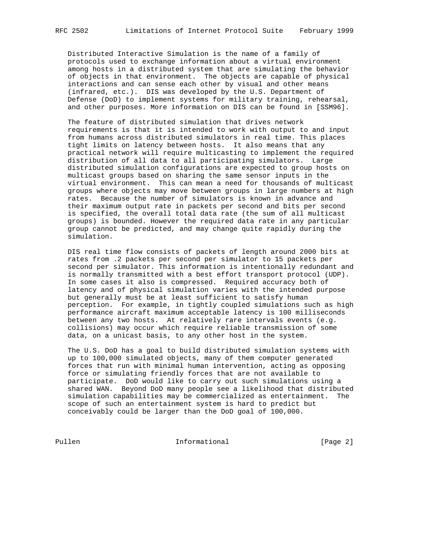Distributed Interactive Simulation is the name of a family of protocols used to exchange information about a virtual environment among hosts in a distributed system that are simulating the behavior of objects in that environment. The objects are capable of physical interactions and can sense each other by visual and other means (infrared, etc.). DIS was developed by the U.S. Department of Defense (DoD) to implement systems for military training, rehearsal, and other purposes. More information on DIS can be found in [SSM96].

 The feature of distributed simulation that drives network requirements is that it is intended to work with output to and input from humans across distributed simulators in real time. This places tight limits on latency between hosts. It also means that any practical network will require multicasting to implement the required distribution of all data to all participating simulators. Large distributed simulation configurations are expected to group hosts on multicast groups based on sharing the same sensor inputs in the virtual environment. This can mean a need for thousands of multicast groups where objects may move between groups in large numbers at high rates. Because the number of simulators is known in advance and their maximum output rate in packets per second and bits per second is specified, the overall total data rate (the sum of all multicast groups) is bounded. However the required data rate in any particular group cannot be predicted, and may change quite rapidly during the simulation.

 DIS real time flow consists of packets of length around 2000 bits at rates from .2 packets per second per simulator to 15 packets per second per simulator. This information is intentionally redundant and is normally transmitted with a best effort transport protocol (UDP). In some cases it also is compressed. Required accuracy both of latency and of physical simulation varies with the intended purpose but generally must be at least sufficient to satisfy human perception. For example, in tightly coupled simulations such as high performance aircraft maximum acceptable latency is 100 milliseconds between any two hosts. At relatively rare intervals events (e.g. collisions) may occur which require reliable transmission of some data, on a unicast basis, to any other host in the system.

 The U.S. DoD has a goal to build distributed simulation systems with up to 100,000 simulated objects, many of them computer generated forces that run with minimal human intervention, acting as opposing force or simulating friendly forces that are not available to participate. DoD would like to carry out such simulations using a shared WAN. Beyond DoD many people see a likelihood that distributed simulation capabilities may be commercialized as entertainment. The scope of such an entertainment system is hard to predict but conceivably could be larger than the DoD goal of 100,000.

Pullen Informational [Page 2]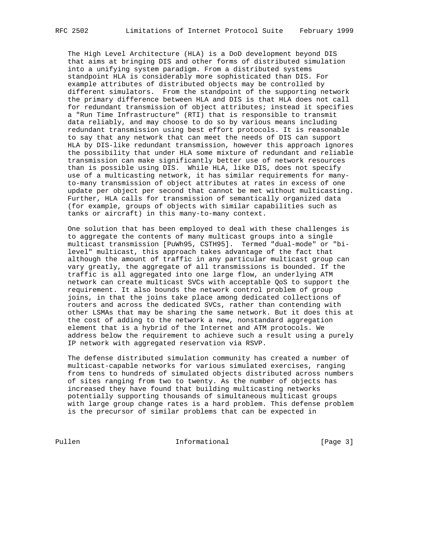The High Level Architecture (HLA) is a DoD development beyond DIS that aims at bringing DIS and other forms of distributed simulation into a unifying system paradigm. From a distributed systems standpoint HLA is considerably more sophisticated than DIS. For example attributes of distributed objects may be controlled by different simulators. From the standpoint of the supporting network the primary difference between HLA and DIS is that HLA does not call for redundant transmission of object attributes; instead it specifies a "Run Time Infrastructure" (RTI) that is responsible to transmit data reliably, and may choose to do so by various means including redundant transmission using best effort protocols. It is reasonable to say that any network that can meet the needs of DIS can support HLA by DIS-like redundant transmission, however this approach ignores the possibility that under HLA some mixture of redundant and reliable transmission can make significantly better use of network resources than is possible using DIS. While HLA, like DIS, does not specify use of a multicasting network, it has similar requirements for many to-many transmission of object attributes at rates in excess of one update per object per second that cannot be met without multicasting. Further, HLA calls for transmission of semantically organized data (for example, groups of objects with similar capabilities such as tanks or aircraft) in this many-to-many context.

 One solution that has been employed to deal with these challenges is to aggregate the contents of many multicast groups into a single multicast transmission [PuWh95, CSTH95]. Termed "dual-mode" or "bi level" multicast, this approach takes advantage of the fact that although the amount of traffic in any particular multicast group can vary greatly, the aggregate of all transmissions is bounded. If the traffic is all aggregated into one large flow, an underlying ATM network can create multicast SVCs with acceptable QoS to support the requirement. It also bounds the network control problem of group joins, in that the joins take place among dedicated collections of routers and across the dedicated SVCs, rather than contending with other LSMAs that may be sharing the same network. But it does this at the cost of adding to the network a new, nonstandard aggregation element that is a hybrid of the Internet and ATM protocols. We address below the requirement to achieve such a result using a purely IP network with aggregated reservation via RSVP.

 The defense distributed simulation community has created a number of multicast-capable networks for various simulated exercises, ranging from tens to hundreds of simulated objects distributed across numbers of sites ranging from two to twenty. As the number of objects has increased they have found that building multicasting networks potentially supporting thousands of simultaneous multicast groups with large group change rates is a hard problem. This defense problem is the precursor of similar problems that can be expected in

Pullen Informational [Page 3]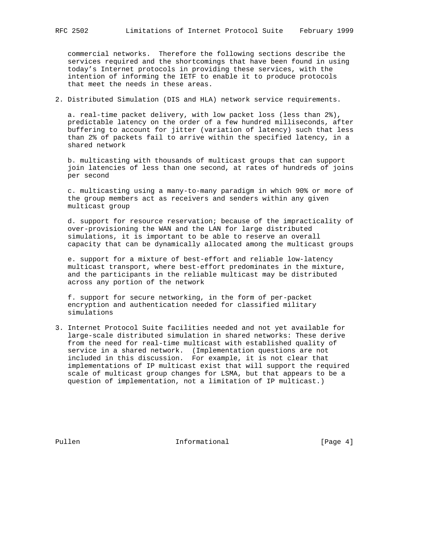commercial networks. Therefore the following sections describe the services required and the shortcomings that have been found in using today's Internet protocols in providing these services, with the intention of informing the IETF to enable it to produce protocols that meet the needs in these areas.

2. Distributed Simulation (DIS and HLA) network service requirements.

 a. real-time packet delivery, with low packet loss (less than 2%), predictable latency on the order of a few hundred milliseconds, after buffering to account for jitter (variation of latency) such that less than 2% of packets fail to arrive within the specified latency, in a shared network

 b. multicasting with thousands of multicast groups that can support join latencies of less than one second, at rates of hundreds of joins per second

 c. multicasting using a many-to-many paradigm in which 90% or more of the group members act as receivers and senders within any given multicast group

 d. support for resource reservation; because of the impracticality of over-provisioning the WAN and the LAN for large distributed simulations, it is important to be able to reserve an overall capacity that can be dynamically allocated among the multicast groups

 e. support for a mixture of best-effort and reliable low-latency multicast transport, where best-effort predominates in the mixture, and the participants in the reliable multicast may be distributed across any portion of the network

 f. support for secure networking, in the form of per-packet encryption and authentication needed for classified military simulations

3. Internet Protocol Suite facilities needed and not yet available for large-scale distributed simulation in shared networks: These derive from the need for real-time multicast with established quality of service in a shared network. (Implementation questions are not included in this discussion. For example, it is not clear that implementations of IP multicast exist that will support the required scale of multicast group changes for LSMA, but that appears to be a question of implementation, not a limitation of IP multicast.)

Pullen **Informational** Informational [Page 4]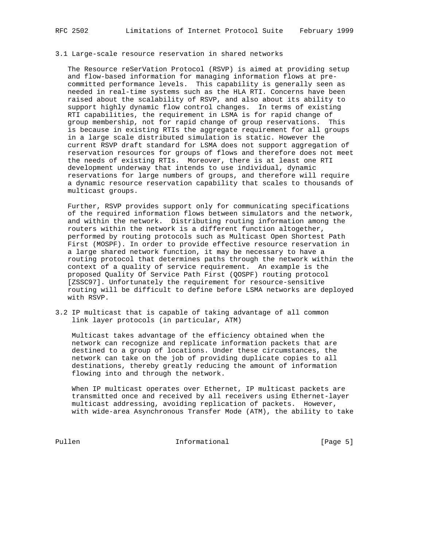## 3.1 Large-scale resource reservation in shared networks

 The Resource reSerVation Protocol (RSVP) is aimed at providing setup and flow-based information for managing information flows at pre committed performance levels. This capability is generally seen as needed in real-time systems such as the HLA RTI. Concerns have been raised about the scalability of RSVP, and also about its ability to support highly dynamic flow control changes. In terms of existing RTI capabilities, the requirement in LSMA is for rapid change of group membership, not for rapid change of group reservations. This is because in existing RTIs the aggregate requirement for all groups in a large scale distributed simulation is static. However the current RSVP draft standard for LSMA does not support aggregation of reservation resources for groups of flows and therefore does not meet the needs of existing RTIs. Moreover, there is at least one RTI development underway that intends to use individual, dynamic reservations for large numbers of groups, and therefore will require a dynamic resource reservation capability that scales to thousands of multicast groups.

 Further, RSVP provides support only for communicating specifications of the required information flows between simulators and the network, and within the network. Distributing routing information among the routers within the network is a different function altogether, performed by routing protocols such as Multicast Open Shortest Path First (MOSPF). In order to provide effective resource reservation in a large shared network function, it may be necessary to have a routing protocol that determines paths through the network within the context of a quality of service requirement. An example is the proposed Quality Of Service Path First (QOSPF) routing protocol [ZSSC97]. Unfortunately the requirement for resource-sensitive routing will be difficult to define before LSMA networks are deployed with RSVP.

3.2 IP multicast that is capable of taking advantage of all common link layer protocols (in particular, ATM)

 Multicast takes advantage of the efficiency obtained when the network can recognize and replicate information packets that are destined to a group of locations. Under these circumstances, the network can take on the job of providing duplicate copies to all destinations, thereby greatly reducing the amount of information flowing into and through the network.

 When IP multicast operates over Ethernet, IP multicast packets are transmitted once and received by all receivers using Ethernet-layer multicast addressing, avoiding replication of packets. However, with wide-area Asynchronous Transfer Mode (ATM), the ability to take

Pullen **Informational Informational** [Page 5]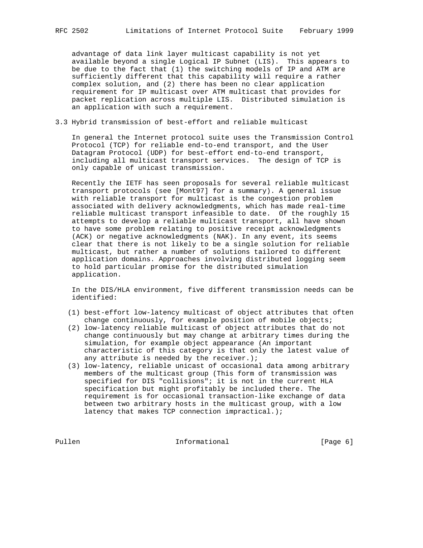advantage of data link layer multicast capability is not yet available beyond a single Logical IP Subnet (LIS). This appears to be due to the fact that (1) the switching models of IP and ATM are sufficiently different that this capability will require a rather complex solution, and (2) there has been no clear application requirement for IP multicast over ATM multicast that provides for packet replication across multiple LIS. Distributed simulation is an application with such a requirement.

## 3.3 Hybrid transmission of best-effort and reliable multicast

 In general the Internet protocol suite uses the Transmission Control Protocol (TCP) for reliable end-to-end transport, and the User Datagram Protocol (UDP) for best-effort end-to-end transport, including all multicast transport services. The design of TCP is only capable of unicast transmission.

 Recently the IETF has seen proposals for several reliable multicast transport protocols (see [Mont97] for a summary). A general issue with reliable transport for multicast is the congestion problem associated with delivery acknowledgments, which has made real-time reliable multicast transport infeasible to date. Of the roughly 15 attempts to develop a reliable multicast transport, all have shown to have some problem relating to positive receipt acknowledgments (ACK) or negative acknowledgments (NAK). In any event, its seems clear that there is not likely to be a single solution for reliable multicast, but rather a number of solutions tailored to different application domains. Approaches involving distributed logging seem to hold particular promise for the distributed simulation application.

 In the DIS/HLA environment, five different transmission needs can be identified:

- (1) best-effort low-latency multicast of object attributes that often change continuously, for example position of mobile objects;
- (2) low-latency reliable multicast of object attributes that do not change continuously but may change at arbitrary times during the simulation, for example object appearance (An important characteristic of this category is that only the latest value of any attribute is needed by the receiver.);
- (3) low-latency, reliable unicast of occasional data among arbitrary members of the multicast group (This form of transmission was specified for DIS "collisions"; it is not in the current HLA specification but might profitably be included there. The requirement is for occasional transaction-like exchange of data between two arbitrary hosts in the multicast group, with a low latency that makes TCP connection impractical.);

Pullen Informational [Page 6]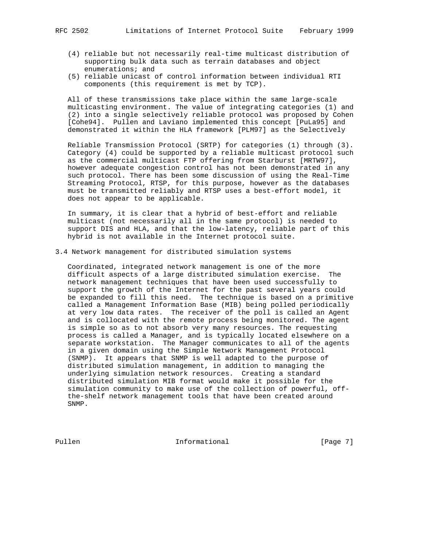- (4) reliable but not necessarily real-time multicast distribution of supporting bulk data such as terrain databases and object enumerations; and
- (5) reliable unicast of control information between individual RTI components (this requirement is met by TCP).

 All of these transmissions take place within the same large-scale multicasting environment. The value of integrating categories (1) and (2) into a single selectively reliable protocol was proposed by Cohen [Cohe94]. Pullen and Laviano implemented this concept [PuLa95] and demonstrated it within the HLA framework [PLM97] as the Selectively

 Reliable Transmission Protocol (SRTP) for categories (1) through (3). Category (4) could be supported by a reliable multicast protocol such as the commercial multicast FTP offering from Starburst [MRTW97], however adequate congestion control has not been demonstrated in any such protocol. There has been some discussion of using the Real-Time Streaming Protocol, RTSP, for this purpose, however as the databases must be transmitted reliably and RTSP uses a best-effort model, it does not appear to be applicable.

 In summary, it is clear that a hybrid of best-effort and reliable multicast (not necessarily all in the same protocol) is needed to support DIS and HLA, and that the low-latency, reliable part of this hybrid is not available in the Internet protocol suite.

3.4 Network management for distributed simulation systems

 Coordinated, integrated network management is one of the more difficult aspects of a large distributed simulation exercise. The network management techniques that have been used successfully to support the growth of the Internet for the past several years could be expanded to fill this need. The technique is based on a primitive called a Management Information Base (MIB) being polled periodically at very low data rates. The receiver of the poll is called an Agent and is collocated with the remote process being monitored. The agent is simple so as to not absorb very many resources. The requesting process is called a Manager, and is typically located elsewhere on a separate workstation. The Manager communicates to all of the agents in a given domain using the Simple Network Management Protocol (SNMP). It appears that SNMP is well adapted to the purpose of distributed simulation management, in addition to managing the underlying simulation network resources. Creating a standard distributed simulation MIB format would make it possible for the simulation community to make use of the collection of powerful, off the-shelf network management tools that have been created around SNMP.

Pullen **Informational** Informational [Page 7]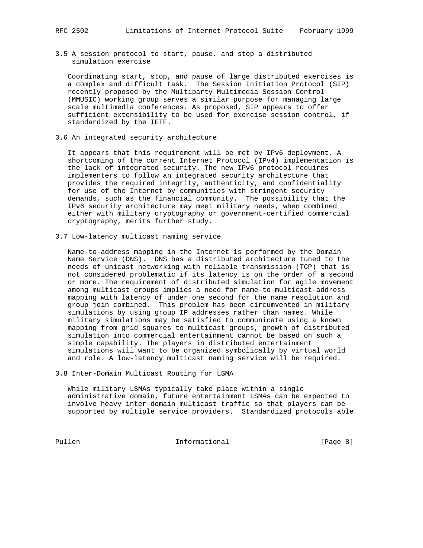3.5 A session protocol to start, pause, and stop a distributed simulation exercise

 Coordinating start, stop, and pause of large distributed exercises is a complex and difficult task. The Session Initiation Protocol (SIP) recently proposed by the Multiparty Multimedia Session Control (MMUSIC) working group serves a similar purpose for managing large scale multimedia conferences. As proposed, SIP appears to offer sufficient extensibility to be used for exercise session control, if standardized by the IETF.

3.6 An integrated security architecture

 It appears that this requirement will be met by IPv6 deployment. A shortcoming of the current Internet Protocol (IPv4) implementation is the lack of integrated security. The new IPv6 protocol requires implementers to follow an integrated security architecture that provides the required integrity, authenticity, and confidentiality for use of the Internet by communities with stringent security demands, such as the financial community. The possibility that the IPv6 security architecture may meet military needs, when combined either with military cryptography or government-certified commercial cryptography, merits further study.

3.7 Low-latency multicast naming service

 Name-to-address mapping in the Internet is performed by the Domain Name Service (DNS). DNS has a distributed architecture tuned to the needs of unicast networking with reliable transmission (TCP) that is not considered problematic if its latency is on the order of a second or more. The requirement of distributed simulation for agile movement among multicast groups implies a need for name-to-multicast-address mapping with latency of under one second for the name resolution and group join combined. This problem has been circumvented in military simulations by using group IP addresses rather than names. While military simulations may be satisfied to communicate using a known mapping from grid squares to multicast groups, growth of distributed simulation into commercial entertainment cannot be based on such a simple capability. The players in distributed entertainment simulations will want to be organized symbolically by virtual world and role. A low-latency multicast naming service will be required.

3.8 Inter-Domain Multicast Routing for LSMA

 While military LSMAs typically take place within a single administrative domain, future entertainment LSMAs can be expected to involve heavy inter-domain multicast traffic so that players can be supported by multiple service providers. Standardized protocols able

Pullen **Informational** Informational [Page 8]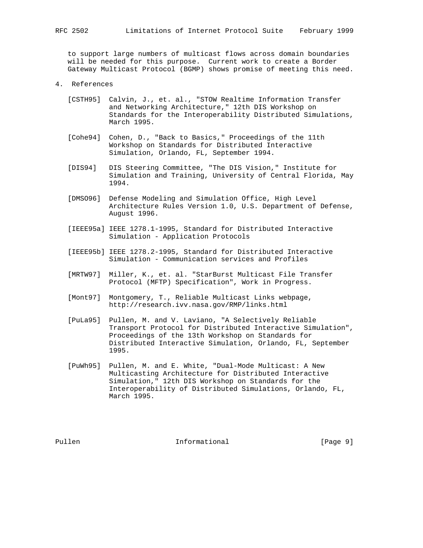to support large numbers of multicast flows across domain boundaries will be needed for this purpose. Current work to create a Border Gateway Multicast Protocol (BGMP) shows promise of meeting this need.

- 4. References
	- [CSTH95] Calvin, J., et. al., "STOW Realtime Information Transfer and Networking Architecture," 12th DIS Workshop on Standards for the Interoperability Distributed Simulations, March 1995.
	- [Cohe94] Cohen, D., "Back to Basics," Proceedings of the 11th Workshop on Standards for Distributed Interactive Simulation, Orlando, FL, September 1994.
	- [DIS94] DIS Steering Committee, "The DIS Vision," Institute for Simulation and Training, University of Central Florida, May 1994.
	- [DMSO96] Defense Modeling and Simulation Office, High Level Architecture Rules Version 1.0, U.S. Department of Defense, August 1996.
	- [IEEE95a] IEEE 1278.1-1995, Standard for Distributed Interactive Simulation - Application Protocols
	- [IEEE95b] IEEE 1278.2-1995, Standard for Distributed Interactive Simulation - Communication services and Profiles
	- [MRTW97] Miller, K., et. al. "StarBurst Multicast File Transfer Protocol (MFTP) Specification", Work in Progress.
	- [Mont97] Montgomery, T., Reliable Multicast Links webpage, http://research.ivv.nasa.gov/RMP/links.html
	- [PuLa95] Pullen, M. and V. Laviano, "A Selectively Reliable Transport Protocol for Distributed Interactive Simulation", Proceedings of the 13th Workshop on Standards for Distributed Interactive Simulation, Orlando, FL, September 1995.
	- [PuWh95] Pullen, M. and E. White, "Dual-Mode Multicast: A New Multicasting Architecture for Distributed Interactive Simulation," 12th DIS Workshop on Standards for the Interoperability of Distributed Simulations, Orlando, FL, March 1995.

Pullen **Informational** Informational [Page 9]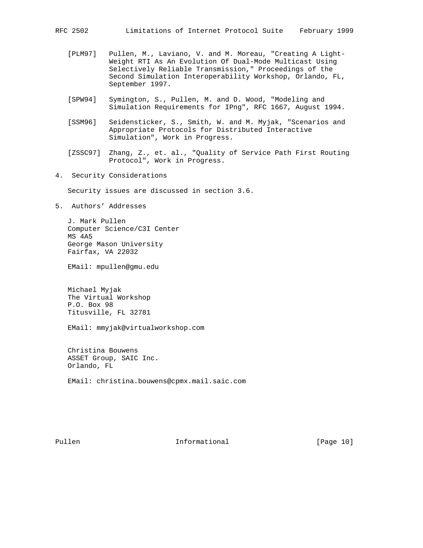- [PLM97] Pullen, M., Laviano, V. and M. Moreau, "Creating A Light- Weight RTI As An Evolution Of Dual-Mode Multicast Using Selectively Reliable Transmission," Proceedings of the Second Simulation Interoperability Workshop, Orlando, FL, September 1997.
- [SPW94] Symington, S., Pullen, M. and D. Wood, "Modeling and Simulation Requirements for IPng", RFC 1667, August 1994.
- [SSM96] Seidensticker, S., Smith, W. and M. Myjak, "Scenarios and Appropriate Protocols for Distributed Interactive Simulation", Work in Progress.
- [ZSSC97] Zhang, Z., et. al., "Quality of Service Path First Routing Protocol", Work in Progress.
- 4. Security Considerations

Security issues are discussed in section 3.6.

5. Authors' Addresses

 J. Mark Pullen Computer Science/C3I Center MS 4A5 George Mason University Fairfax, VA 22032

EMail: mpullen@gmu.edu

 Michael Myjak The Virtual Workshop P.O. Box 98 Titusville, FL 32781

EMail: mmyjak@virtualworkshop.com

 Christina Bouwens ASSET Group, SAIC Inc. Orlando, FL

EMail: christina.bouwens@cpmx.mail.saic.com

Pullen **Informational Informational** [Page 10]